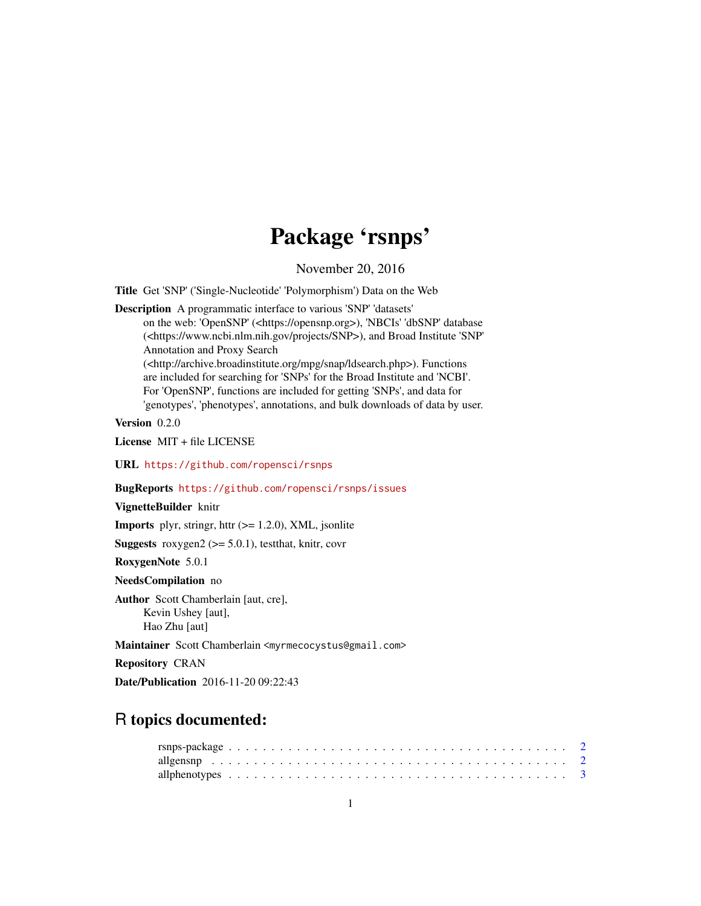# Package 'rsnps'

November 20, 2016

<span id="page-0-0"></span>Title Get 'SNP' ('Single-Nucleotide' 'Polymorphism') Data on the Web

Description A programmatic interface to various 'SNP' 'datasets'

on the web: 'OpenSNP' (<https://opensnp.org>), 'NBCIs' 'dbSNP' database (<https://www.ncbi.nlm.nih.gov/projects/SNP>), and Broad Institute 'SNP' Annotation and Proxy Search (<http://archive.broadinstitute.org/mpg/snap/ldsearch.php>). Functions are included for searching for 'SNPs' for the Broad Institute and 'NCBI'. For 'OpenSNP', functions are included for getting 'SNPs', and data for 'genotypes', 'phenotypes', annotations, and bulk downloads of data by user.

Version 0.2.0

License MIT + file LICENSE

URL <https://github.com/ropensci/rsnps>

BugReports <https://github.com/ropensci/rsnps/issues>

VignetteBuilder knitr

**Imports** plyr, stringr, httr  $(>= 1.2.0)$ , XML, jsonlite

**Suggests** roxygen2 ( $>= 5.0.1$ ), testthat, knitr, covr

RoxygenNote 5.0.1

NeedsCompilation no

Author Scott Chamberlain [aut, cre], Kevin Ushey [aut], Hao Zhu [aut]

Maintainer Scott Chamberlain <myrmecocystus@gmail.com>

Repository CRAN

Date/Publication 2016-11-20 09:22:43

# R topics documented: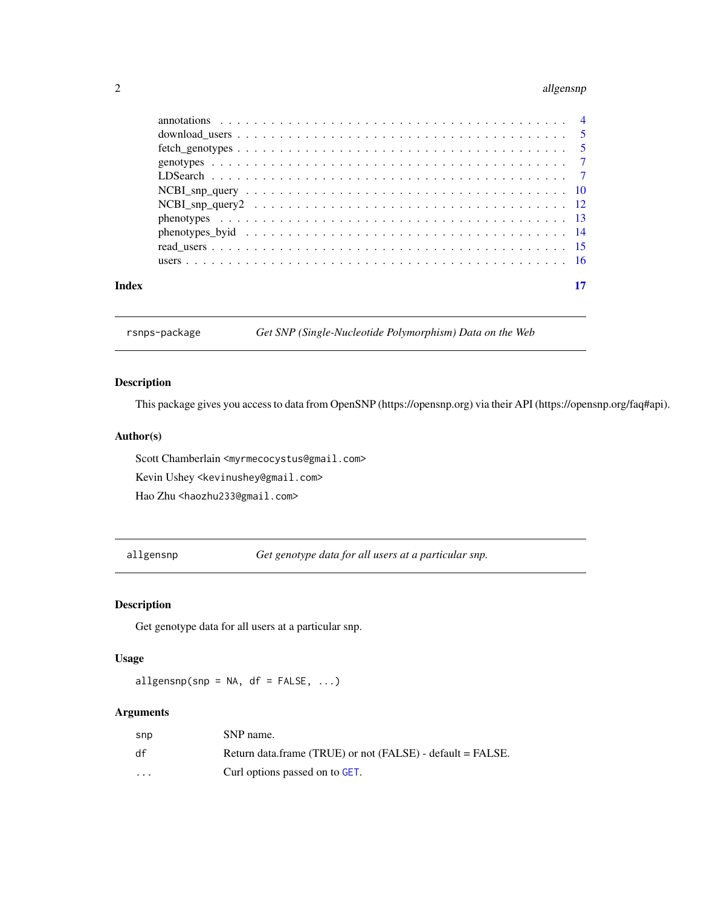#### <span id="page-1-0"></span>2 allgensnp

| Index |  |
|-------|--|
|       |  |

rsnps-package *Get SNP (Single-Nucleotide Polymorphism) Data on the Web*

# Description

This package gives you access to data from OpenSNP (https://opensnp.org) via their API (https://opensnp.org/faq#api).

# Author(s)

Scott Chamberlain <myrmecocystus@gmail.com>

Kevin Ushey <kevinushey@gmail.com>

Hao Zhu <haozhu233@gmail.com>

allgensnp *Get genotype data for all users at a particular snp.*

# Description

Get genotype data for all users at a particular snp.

# Usage

allgensnp(snp = NA,  $df = FALSE, ...$ )

# Arguments

| snp                     | SNP name.                                                  |
|-------------------------|------------------------------------------------------------|
| df                      | Return data.frame (TRUE) or not (FALSE) - default = FALSE. |
| $\cdot$ $\cdot$ $\cdot$ | Curl options passed on to GET.                             |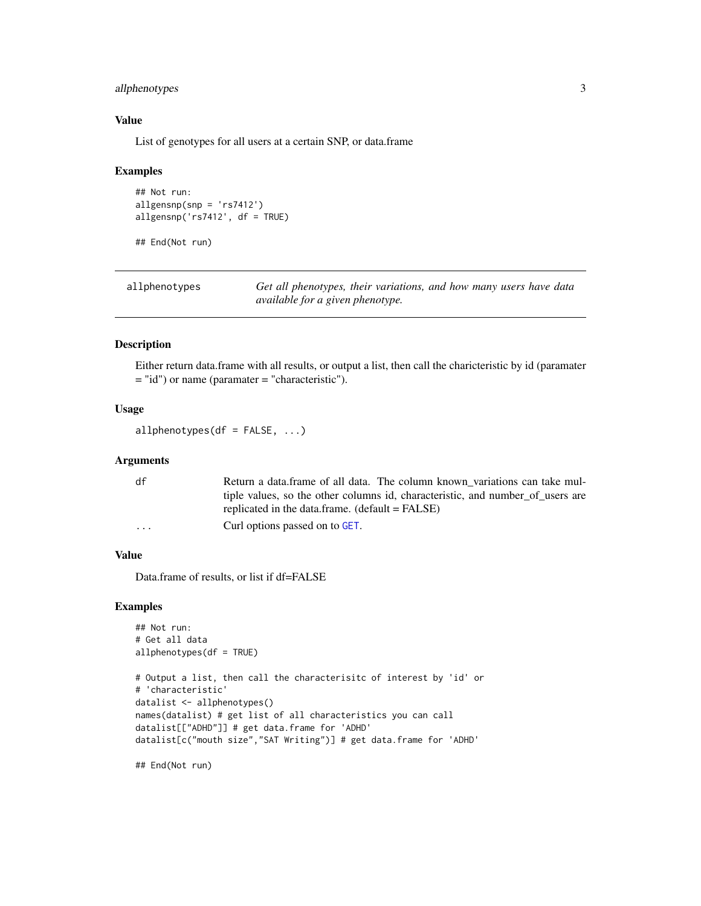# <span id="page-2-0"></span>allphenotypes 3

# Value

List of genotypes for all users at a certain SNP, or data.frame

#### Examples

```
## Not run:
allgensnp(snp = 'rs7412')
allgensnp('rs7412', df = TRUE)
```
## End(Not run)

| allphenotypes | Get all phenotypes, their variations, and how many users have data |  |
|---------------|--------------------------------------------------------------------|--|
|               | <i>available for a given phenotype.</i>                            |  |

#### Description

Either return data.frame with all results, or output a list, then call the charicteristic by id (paramater = "id") or name (paramater = "characteristic").

# Usage

allphenotypes(df =  $FALSE, ...)$ 

# Arguments

| df       | Return a data frame of all data. The column known variations can take mul-     |
|----------|--------------------------------------------------------------------------------|
|          | tiple values, so the other columns id, characteristic, and number of users are |
|          | replicated in the data.frame. $(default = FALSE)$                              |
| $\cdots$ | Curl options passed on to GET.                                                 |

#### Value

Data.frame of results, or list if df=FALSE

#### Examples

```
## Not run:
# Get all data
allphenotypes(df = TRUE)
# Output a list, then call the characterisitc of interest by 'id' or
# 'characteristic'
datalist <- allphenotypes()
names(datalist) # get list of all characteristics you can call
datalist[["ADHD"]] # get data.frame for 'ADHD'
datalist[c("mouth size","SAT Writing")] # get data.frame for 'ADHD'
```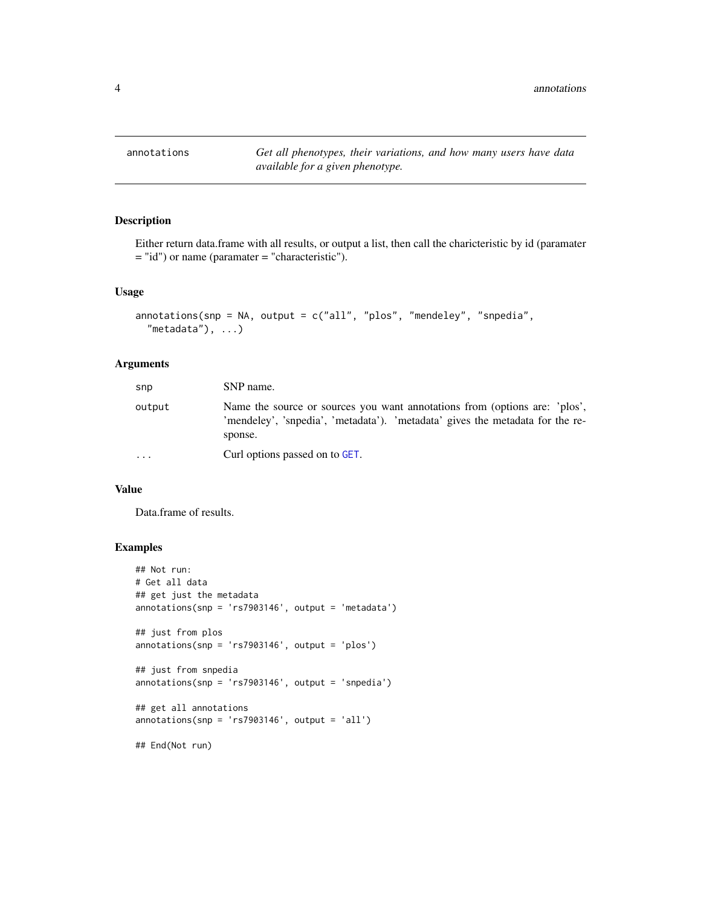<span id="page-3-0"></span>

Either return data.frame with all results, or output a list, then call the charicteristic by id (paramater = "id") or name (paramater = "characteristic").

#### Usage

```
annotations(snp = NA, output = c("all", "plos", "mendeley", "snpedia",
  "metadata"), \ldots)
```
# Arguments

| snp       | SNP name.                                                                                                                                                              |
|-----------|------------------------------------------------------------------------------------------------------------------------------------------------------------------------|
| output    | Name the source or sources you want annotations from (options are: 'plos',<br>'mendeley', 'snpedia', 'metadata'). 'metadata' gives the metadata for the re-<br>sponse. |
| $\ddotsc$ | Curl options passed on to GET.                                                                                                                                         |

#### Value

Data.frame of results.

```
## Not run:
# Get all data
## get just the metadata
annotations(snp = 'rs7903146', output = 'metadata')
## just from plos
annotations(snp = 'rs7903146', output = 'plos')
## just from snpedia
annotations(snp = 'rs7903146', output = 'snpedia')
## get all annotations
annotations(snp = 'rs7903146', output = 'all')## End(Not run)
```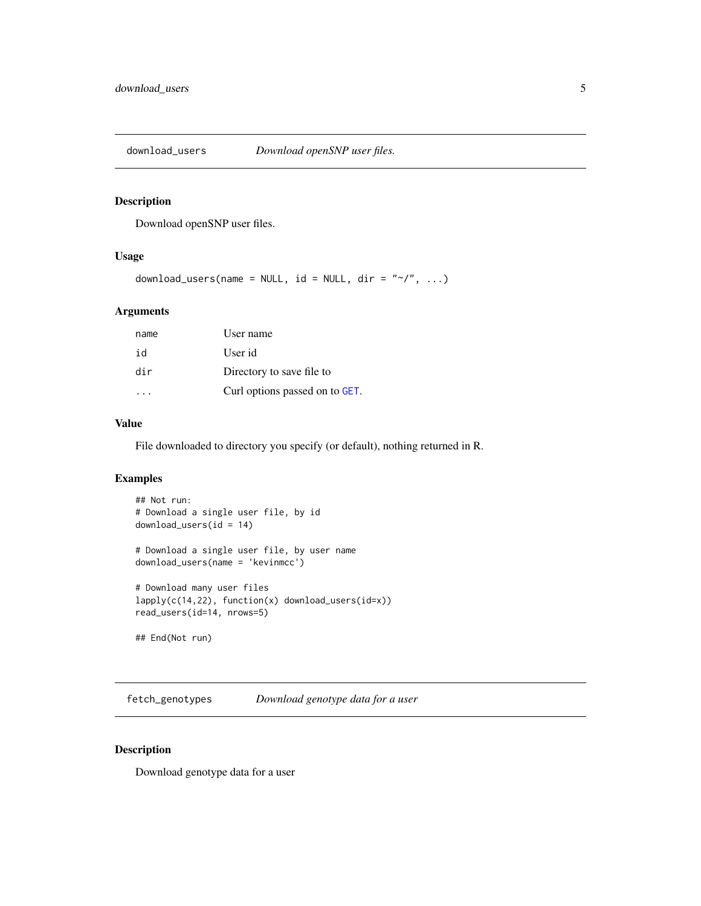<span id="page-4-0"></span>download\_users *Download openSNP user files.*

# Description

Download openSNP user files.

#### Usage

```
download_users(name = NULL, id = NULL, dir = " \gamma", ...)
```
# Arguments

| name | User name                      |
|------|--------------------------------|
| id   | User id                        |
| dir  | Directory to save file to      |
|      | Curl options passed on to GET. |

# Value

File downloaded to directory you specify (or default), nothing returned in R.

# Examples

```
## Not run:
# Download a single user file, by id
download_users(id = 14)
# Download a single user file, by user name
download_users(name = 'kevinmcc')
# Download many user files
lapply(c(14,22), function(x) <i>download_user(id=x)</i>)read_users(id=14, nrows=5)
## End(Not run)
```
fetch\_genotypes *Download genotype data for a user*

# Description

Download genotype data for a user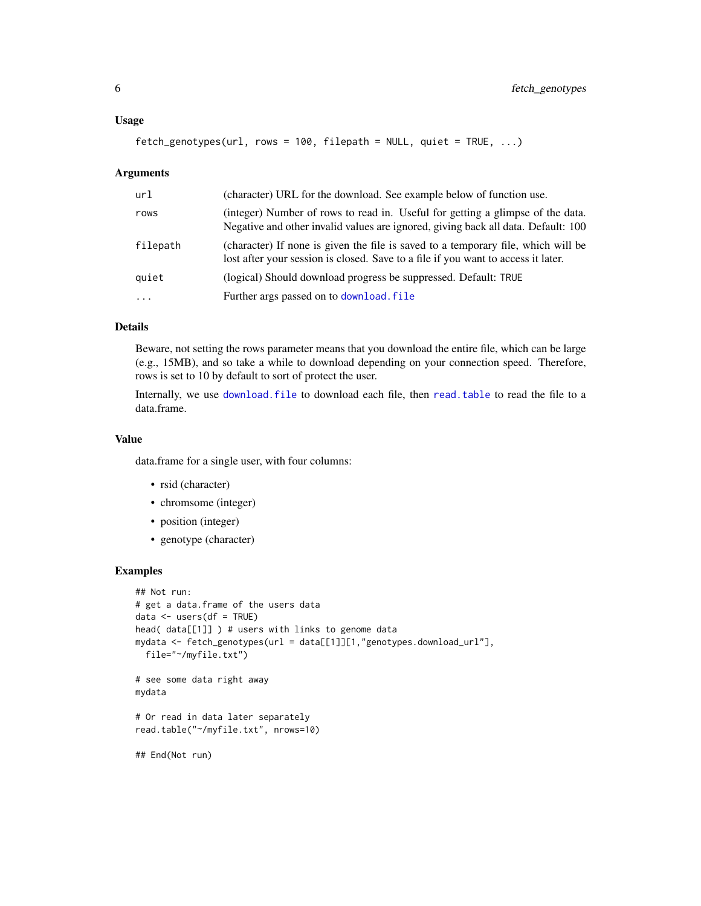#### <span id="page-5-0"></span>Usage

```
fetch\_genotypes(url, rows = 100, filepath = NULL, quiet = TRUE, ...)
```
#### Arguments

| url        | (character) URL for the download. See example below of function use.                                                                                                   |
|------------|------------------------------------------------------------------------------------------------------------------------------------------------------------------------|
| rows       | (integer) Number of rows to read in. Useful for getting a glimpse of the data.<br>Negative and other invalid values are ignored, giving back all data. Default: 100    |
| filepath   | (character) If none is given the file is saved to a temporary file, which will be<br>lost after your session is closed. Save to a file if you want to access it later. |
| quiet      | (logical) Should download progress be suppressed. Default: TRUE                                                                                                        |
| $\ddots$ . | Further args passed on to download. file                                                                                                                               |

# Details

Beware, not setting the rows parameter means that you download the entire file, which can be large (e.g., 15MB), and so take a while to download depending on your connection speed. Therefore, rows is set to 10 by default to sort of protect the user.

Internally, we use [download.file](#page-0-0) to download each file, then [read.table](#page-0-0) to read the file to a data.frame.

#### Value

data.frame for a single user, with four columns:

- rsid (character)
- chromsome (integer)
- position (integer)
- genotype (character)

```
## Not run:
# get a data.frame of the users data
data <- users(df = TRUE)
head( data[[1]] ) # users with links to genome data
mydata <- fetch_genotypes(url = data[[1]][1,"genotypes.download_url"],
  file="~/myfile.txt")
# see some data right away
mydata
# Or read in data later separately
read.table("~/myfile.txt", nrows=10)
## End(Not run)
```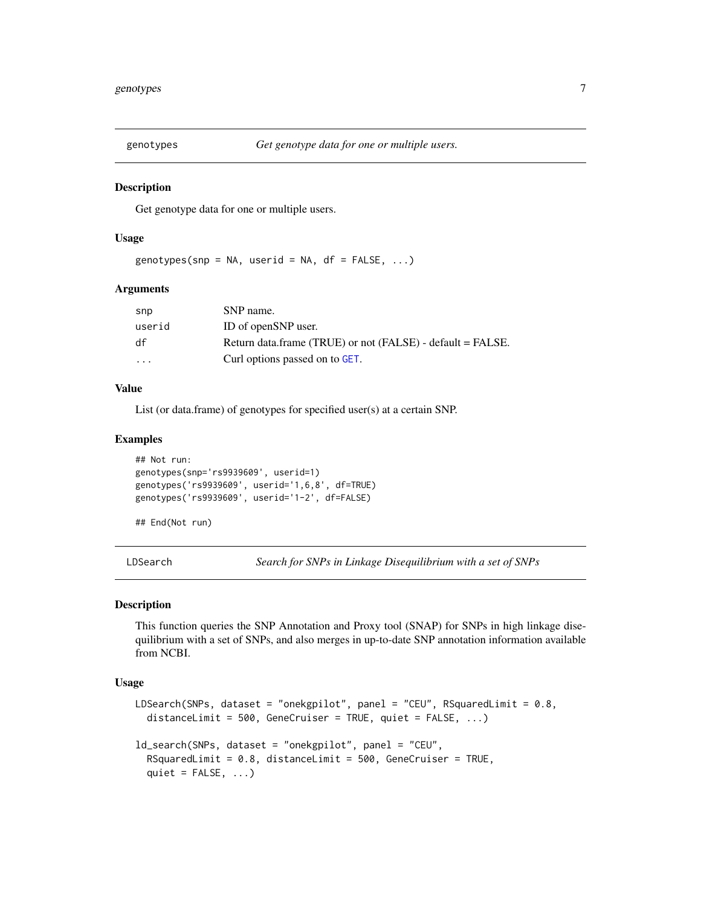<span id="page-6-0"></span>

Get genotype data for one or multiple users.

#### Usage

```
genotypes(snp = NA, userid = NA, df = FALSE, \ldots)
```
# Arguments

| snp      | SNP name.                                                  |
|----------|------------------------------------------------------------|
| userid   | ID of openSNP user.                                        |
| df       | Return data.frame (TRUE) or not (FALSE) - default = FALSE. |
| $\cdots$ | Curl options passed on to GET.                             |

#### Value

List (or data.frame) of genotypes for specified user(s) at a certain SNP.

#### Examples

```
## Not run:
genotypes(snp='rs9939609', userid=1)
genotypes('rs9939609', userid='1,6,8', df=TRUE)
genotypes('rs9939609', userid='1-2', df=FALSE)
```
## End(Not run)

LDSearch *Search for SNPs in Linkage Disequilibrium with a set of SNPs*

# Description

This function queries the SNP Annotation and Proxy tool (SNAP) for SNPs in high linkage disequilibrium with a set of SNPs, and also merges in up-to-date SNP annotation information available from NCBI.

# Usage

```
LDSearch(SNPs, dataset = "onekgpilot", panel = "CEU", RSquaredLimit = 0.8,
  distanceLimit = 500, GeneCruiser = TRUE, quiet = FALSE, ...)
ld_search(SNPs, dataset = "onekgpilot", panel = "CEU",
  RSquaredLimit = 0.8, distanceLimit = 500, GeneCruiser = TRUE,
  quiet = FALSE, ...)
```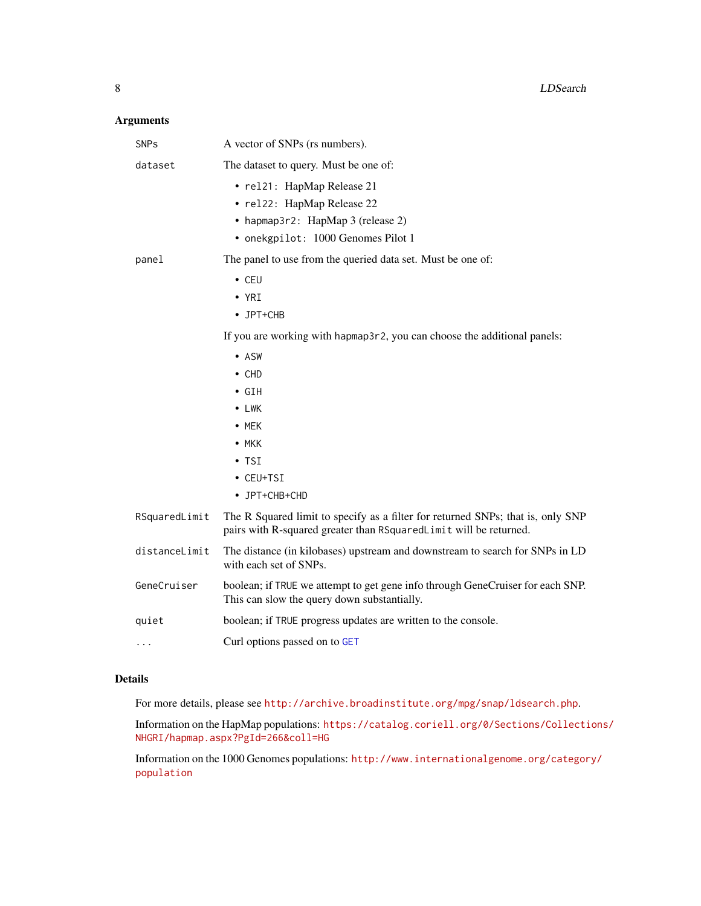# <span id="page-7-0"></span>Arguments

| <b>SNPs</b>   | A vector of SNPs (rs numbers).                                                                                                                       |
|---------------|------------------------------------------------------------------------------------------------------------------------------------------------------|
| dataset       | The dataset to query. Must be one of:                                                                                                                |
|               | • rel21: HapMap Release 21<br>• rel22: HapMap Release 22<br>• hapmap3r2: HapMap 3 (release 2)<br>• onekgpilot: 1000 Genomes Pilot 1                  |
| panel         | The panel to use from the queried data set. Must be one of:                                                                                          |
|               | $\cdot$ CEU<br>$\cdot$ YRI<br>• JPT+CHB                                                                                                              |
|               | If you are working with hapmap3r2, you can choose the additional panels:                                                                             |
|               | • ASW                                                                                                                                                |
|               | $\cdot$ CHD                                                                                                                                          |
|               | $\cdot$ GIH                                                                                                                                          |
|               | $\bullet$ LWK                                                                                                                                        |
|               | $\bullet$ MEK                                                                                                                                        |
|               | $\bullet$ MKK<br>$\cdot$ TSI                                                                                                                         |
|               | • CEU+TSI                                                                                                                                            |
|               | • JPT+CHB+CHD                                                                                                                                        |
| RSquaredLimit | The R Squared limit to specify as a filter for returned SNPs; that is, only SNP<br>pairs with R-squared greater than RSquaredLimit will be returned. |
| distanceLimit | The distance (in kilobases) upstream and downstream to search for SNPs in LD<br>with each set of SNPs.                                               |
| GeneCruiser   | boolean; if TRUE we attempt to get gene info through GeneCruiser for each SNP.<br>This can slow the query down substantially.                        |
| quiet         | boolean; if TRUE progress updates are written to the console.                                                                                        |
| .             | Curl options passed on to GET                                                                                                                        |

# Details

For more details, please see <http://archive.broadinstitute.org/mpg/snap/ldsearch.php>.

Information on the HapMap populations: [https://catalog.coriell.org/0/Sections/Collecti](https://catalog.coriell.org/0/Sections/Collections/NHGRI/hapmap.aspx?PgId=266&coll=HG)ons/ [NHGRI/hapmap.aspx?PgId=266&coll=HG](https://catalog.coriell.org/0/Sections/Collections/NHGRI/hapmap.aspx?PgId=266&coll=HG)

Information on the 1000 Genomes populations: [http://www.internationalgenome.org/categor](http://www.internationalgenome.org/category/population)y/ [population](http://www.internationalgenome.org/category/population)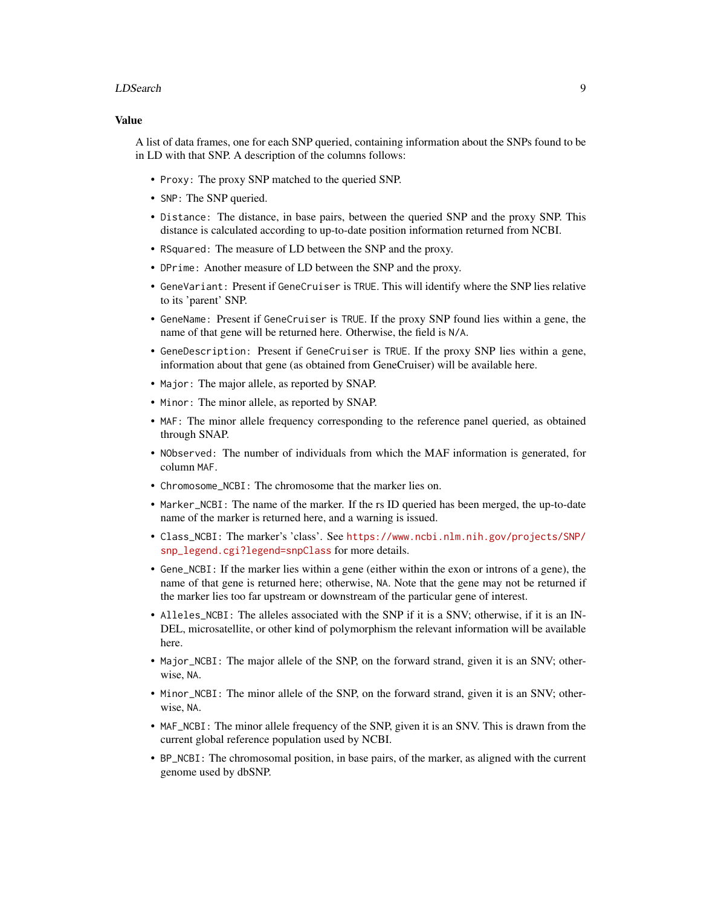#### LDSearch 9

#### Value

A list of data frames, one for each SNP queried, containing information about the SNPs found to be in LD with that SNP. A description of the columns follows:

- Proxy: The proxy SNP matched to the queried SNP.
- SNP: The SNP queried.
- Distance: The distance, in base pairs, between the queried SNP and the proxy SNP. This distance is calculated according to up-to-date position information returned from NCBI.
- RSquared: The measure of LD between the SNP and the proxy.
- DPrime: Another measure of LD between the SNP and the proxy.
- GeneVariant: Present if GeneCruiser is TRUE. This will identify where the SNP lies relative to its 'parent' SNP.
- GeneName: Present if GeneCruiser is TRUE. If the proxy SNP found lies within a gene, the name of that gene will be returned here. Otherwise, the field is N/A.
- GeneDescription: Present if GeneCruiser is TRUE. If the proxy SNP lies within a gene, information about that gene (as obtained from GeneCruiser) will be available here.
- Major: The major allele, as reported by SNAP.
- Minor: The minor allele, as reported by SNAP.
- MAF: The minor allele frequency corresponding to the reference panel queried, as obtained through SNAP.
- NObserved: The number of individuals from which the MAF information is generated, for column MAF.
- Chromosome\_NCBI: The chromosome that the marker lies on.
- Marker\_NCBI: The name of the marker. If the rs ID queried has been merged, the up-to-date name of the marker is returned here, and a warning is issued.
- Class\_NCBI: The marker's 'class'. See [https://www.ncbi.nlm.nih.gov/projects/SNP/](https://www.ncbi.nlm.nih.gov/projects/SNP/snp_legend.cgi?legend=snpClass) [snp\\_legend.cgi?legend=snpClass](https://www.ncbi.nlm.nih.gov/projects/SNP/snp_legend.cgi?legend=snpClass) for more details.
- Gene\_NCBI: If the marker lies within a gene (either within the exon or introns of a gene), the name of that gene is returned here; otherwise, NA. Note that the gene may not be returned if the marker lies too far upstream or downstream of the particular gene of interest.
- Alleles\_NCBI: The alleles associated with the SNP if it is a SNV; otherwise, if it is an IN-DEL, microsatellite, or other kind of polymorphism the relevant information will be available here.
- Major\_NCBI: The major allele of the SNP, on the forward strand, given it is an SNV; otherwise, NA.
- Minor\_NCBI: The minor allele of the SNP, on the forward strand, given it is an SNV; otherwise, NA.
- MAF\_NCBI: The minor allele frequency of the SNP, given it is an SNV. This is drawn from the current global reference population used by NCBI.
- BP\_NCBI: The chromosomal position, in base pairs, of the marker, as aligned with the current genome used by dbSNP.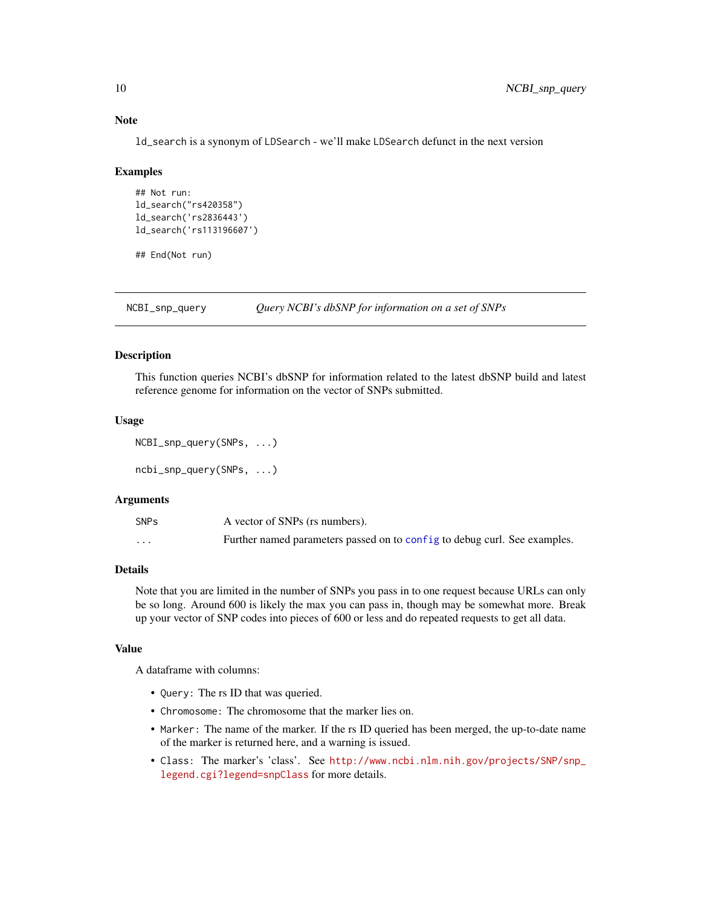#### Note

ld\_search is a synonym of LDSearch - we'll make LDSearch defunct in the next version

#### Examples

```
## Not run:
ld_search("rs420358")
ld_search('rs2836443')
ld_search('rs113196607')
```
## End(Not run)

NCBI\_snp\_query *Query NCBI's dbSNP for information on a set of SNPs*

#### <span id="page-9-1"></span>Description

This function queries NCBI's dbSNP for information related to the latest dbSNP build and latest reference genome for information on the vector of SNPs submitted.

# Usage

```
NCBI_snp_query(SNPs, ...)
```
ncbi\_snp\_query(SNPs, ...)

#### Arguments

| SNPs     | A vector of SNPs (rs numbers).                                            |
|----------|---------------------------------------------------------------------------|
| $\cdots$ | Further named parameters passed on to config to debug curl. See examples. |

# Details

Note that you are limited in the number of SNPs you pass in to one request because URLs can only be so long. Around 600 is likely the max you can pass in, though may be somewhat more. Break up your vector of SNP codes into pieces of 600 or less and do repeated requests to get all data.

# Value

A dataframe with columns:

- Query: The rs ID that was queried.
- Chromosome: The chromosome that the marker lies on.
- Marker: The name of the marker. If the rs ID queried has been merged, the up-to-date name of the marker is returned here, and a warning is issued.
- Class: The marker's 'class'. See [http://www.ncbi.nlm.nih.gov/projects/SNP/snp\\_](http://www.ncbi.nlm.nih.gov/projects/SNP/snp_legend.cgi?legend=snpClass) [legend.cgi?legend=snpClass](http://www.ncbi.nlm.nih.gov/projects/SNP/snp_legend.cgi?legend=snpClass) for more details.

<span id="page-9-0"></span>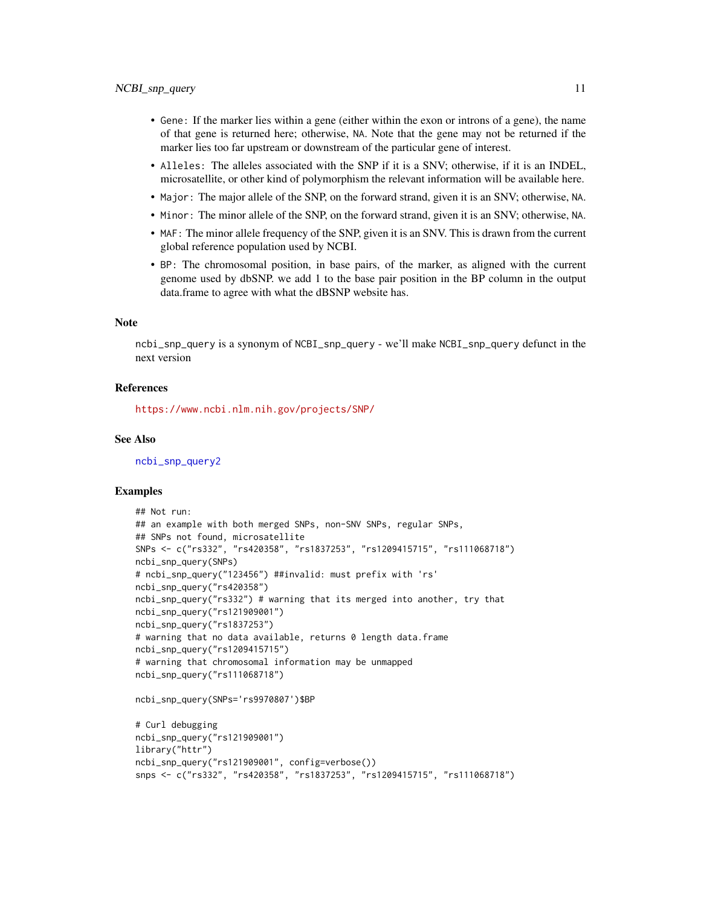- <span id="page-10-0"></span>• Gene: If the marker lies within a gene (either within the exon or introns of a gene), the name of that gene is returned here; otherwise, NA. Note that the gene may not be returned if the marker lies too far upstream or downstream of the particular gene of interest.
- Alleles: The alleles associated with the SNP if it is a SNV; otherwise, if it is an INDEL, microsatellite, or other kind of polymorphism the relevant information will be available here.
- Major: The major allele of the SNP, on the forward strand, given it is an SNV; otherwise, NA.
- Minor: The minor allele of the SNP, on the forward strand, given it is an SNV; otherwise, NA.
- MAF: The minor allele frequency of the SNP, given it is an SNV. This is drawn from the current global reference population used by NCBI.
- BP: The chromosomal position, in base pairs, of the marker, as aligned with the current genome used by dbSNP. we add 1 to the base pair position in the BP column in the output data.frame to agree with what the dBSNP website has.

#### Note

ncbi\_snp\_query is a synonym of NCBI\_snp\_query - we'll make NCBI\_snp\_query defunct in the next version

#### **References**

<https://www.ncbi.nlm.nih.gov/projects/SNP/>

# See Also

[ncbi\\_snp\\_query2](#page-11-1)

```
## Not run:
## an example with both merged SNPs, non-SNV SNPs, regular SNPs,
## SNPs not found, microsatellite
SNPs <- c("rs332", "rs420358", "rs1837253", "rs1209415715", "rs111068718")
ncbi_snp_query(SNPs)
# ncbi_snp_query("123456") ##invalid: must prefix with 'rs'
ncbi_snp_query("rs420358")
ncbi_snp_query("rs332") # warning that its merged into another, try that
ncbi_snp_query("rs121909001")
ncbi_snp_query("rs1837253")
# warning that no data available, returns 0 length data.frame
ncbi_snp_query("rs1209415715")
# warning that chromosomal information may be unmapped
ncbi_snp_query("rs111068718")
ncbi_snp_query(SNPs='rs9970807')$BP
# Curl debugging
```

```
ncbi_snp_query("rs121909001")
library("httr")
ncbi_snp_query("rs121909001", config=verbose())
snps <- c("rs332", "rs420358", "rs1837253", "rs1209415715", "rs111068718")
```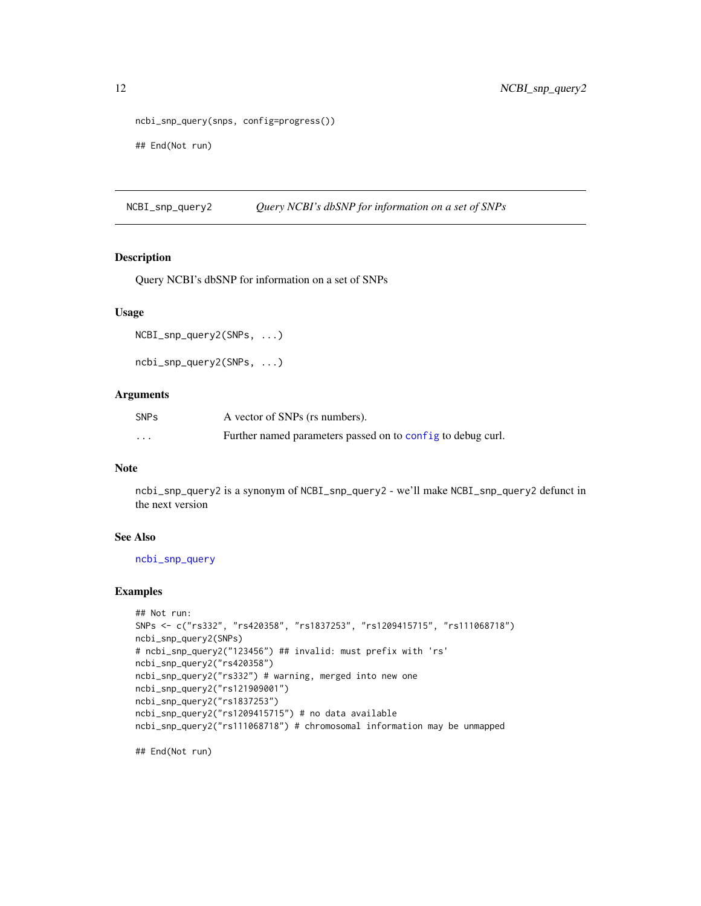```
ncbi_snp_query(snps, config=progress())
## End(Not run)
```
NCBI\_snp\_query2 *Query NCBI's dbSNP for information on a set of SNPs*

## <span id="page-11-1"></span>Description

Query NCBI's dbSNP for information on a set of SNPs

#### Usage

```
NCBI_snp_query2(SNPs, ...)
```

```
ncbi_snp_query2(SNPs, ...)
```
# Arguments

| <b>SNPs</b> | A vector of SNPs (rs numbers).                              |
|-------------|-------------------------------------------------------------|
| $\cdots$    | Further named parameters passed on to config to debug curl. |

#### Note

ncbi\_snp\_query2 is a synonym of NCBI\_snp\_query2 - we'll make NCBI\_snp\_query2 defunct in the next version

#### See Also

[ncbi\\_snp\\_query](#page-9-1)

# Examples

```
## Not run:
SNPs <- c("rs332", "rs420358", "rs1837253", "rs1209415715", "rs111068718")
ncbi_snp_query2(SNPs)
# ncbi_snp_query2("123456") ## invalid: must prefix with 'rs'
ncbi_snp_query2("rs420358")
ncbi_snp_query2("rs332") # warning, merged into new one
ncbi_snp_query2("rs121909001")
ncbi_snp_query2("rs1837253")
ncbi_snp_query2("rs1209415715") # no data available
ncbi_snp_query2("rs111068718") # chromosomal information may be unmapped
```
<span id="page-11-0"></span>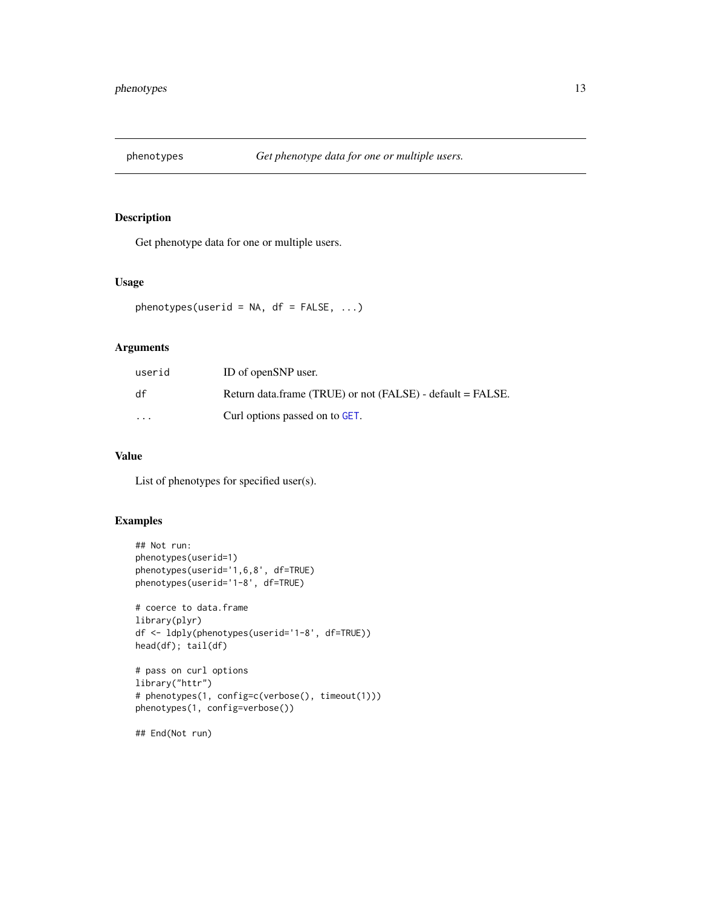<span id="page-12-0"></span>

Get phenotype data for one or multiple users.

#### Usage

```
phenotypes(userid = NA, df = FALSE, ...)
```
# Arguments

| userid   | ID of openSNP user.                                        |
|----------|------------------------------------------------------------|
| df       | Return data.frame (TRUE) or not (FALSE) - default = FALSE. |
| $\cdots$ | Curl options passed on to GET.                             |

# Value

List of phenotypes for specified user(s).

# Examples

```
## Not run:
phenotypes(userid=1)
phenotypes(userid='1,6,8', df=TRUE)
phenotypes(userid='1-8', df=TRUE)
# coerce to data.frame
library(plyr)
df <- ldply(phenotypes(userid='1-8', df=TRUE))
head(df); tail(df)
# pass on curl options
library("httr")
# phenotypes(1, config=c(verbose(), timeout(1)))
phenotypes(1, config=verbose())
```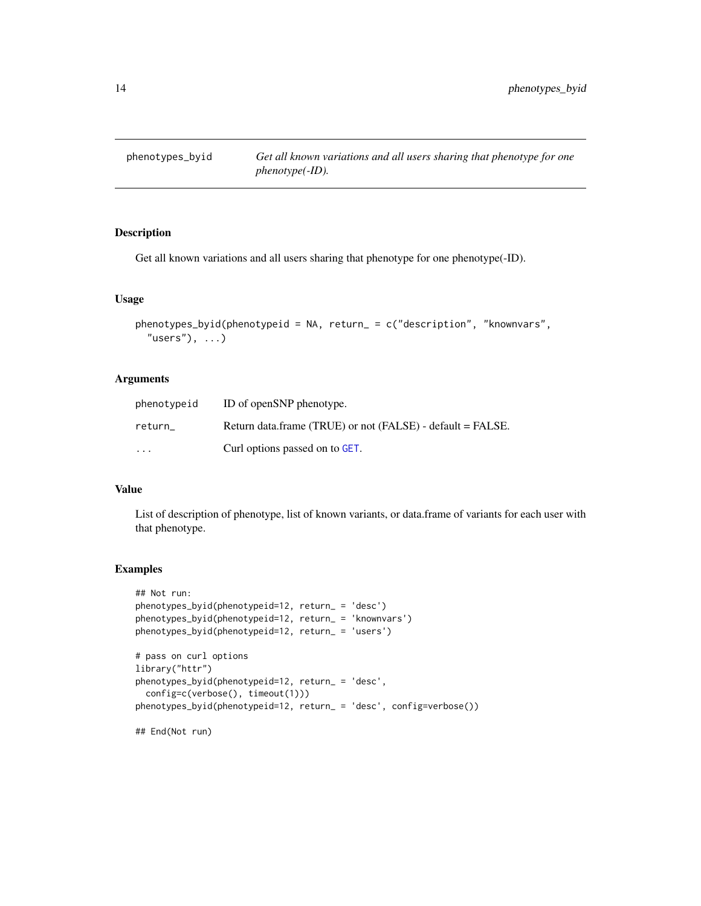<span id="page-13-0"></span>

Get all known variations and all users sharing that phenotype for one phenotype(-ID).

#### Usage

```
phenotypes_byid(phenotypeid = NA, return_ = c("description", "knownvars",
  "users"), \dots)
```
# Arguments

| phenotypeid | ID of openSNP phenotype.                                   |
|-------------|------------------------------------------------------------|
| return      | Return data.frame (TRUE) or not (FALSE) - default = FALSE. |
| $\cdots$    | Curl options passed on to GET.                             |

# Value

List of description of phenotype, list of known variants, or data.frame of variants for each user with that phenotype.

```
## Not run:
phenotypes_byid(phenotypeid=12, return_ = 'desc')
phenotypes_byid(phenotypeid=12, return_ = 'knownvars')
phenotypes_byid(phenotypeid=12, return_ = 'users')
# pass on curl options
library("httr")
phenotypes_byid(phenotypeid=12, return_ = 'desc',
 config=c(verbose(), timeout(1)))
phenotypes_byid(phenotypeid=12, return_ = 'desc', config=verbose())
```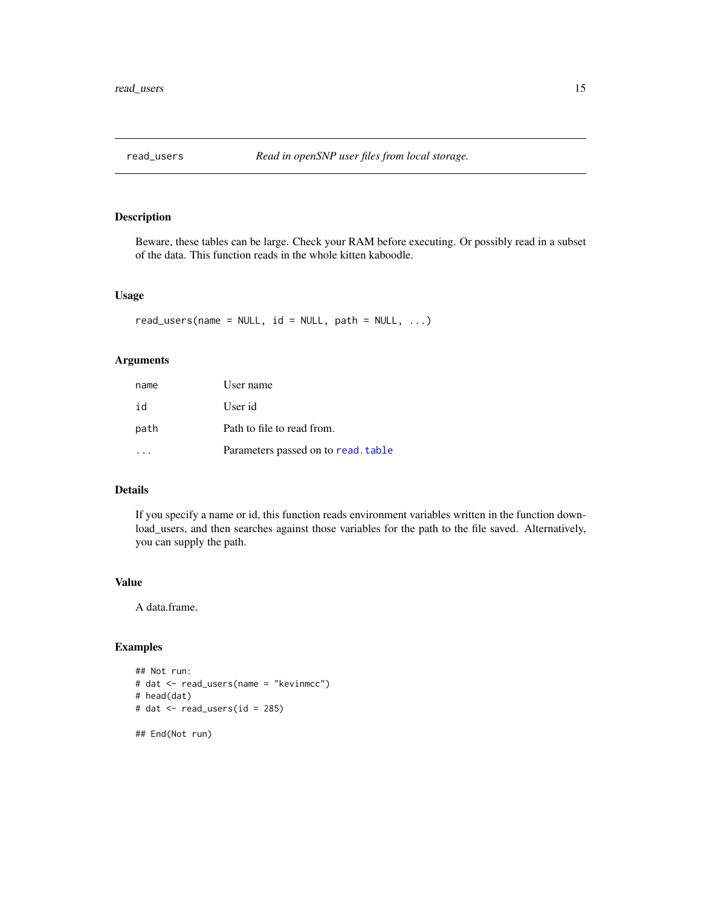<span id="page-14-0"></span>

Beware, these tables can be large. Check your RAM before executing. Or possibly read in a subset of the data. This function reads in the whole kitten kaboodle.

# Usage

```
read\_users(name = NULL, id = NULL, path = NULL, ...)
```
# Arguments

| name | User name                           |
|------|-------------------------------------|
| id   | User id                             |
| path | Path to file to read from.          |
|      | Parameters passed on to read. table |

# Details

If you specify a name or id, this function reads environment variables written in the function download\_users, and then searches against those variables for the path to the file saved. Alternatively, you can supply the path.

#### Value

A data.frame.

```
## Not run:
# dat <- read_users(name = "kevinmcc")
# head(dat)
# dat <- read_users(id = 285)
## End(Not run)
```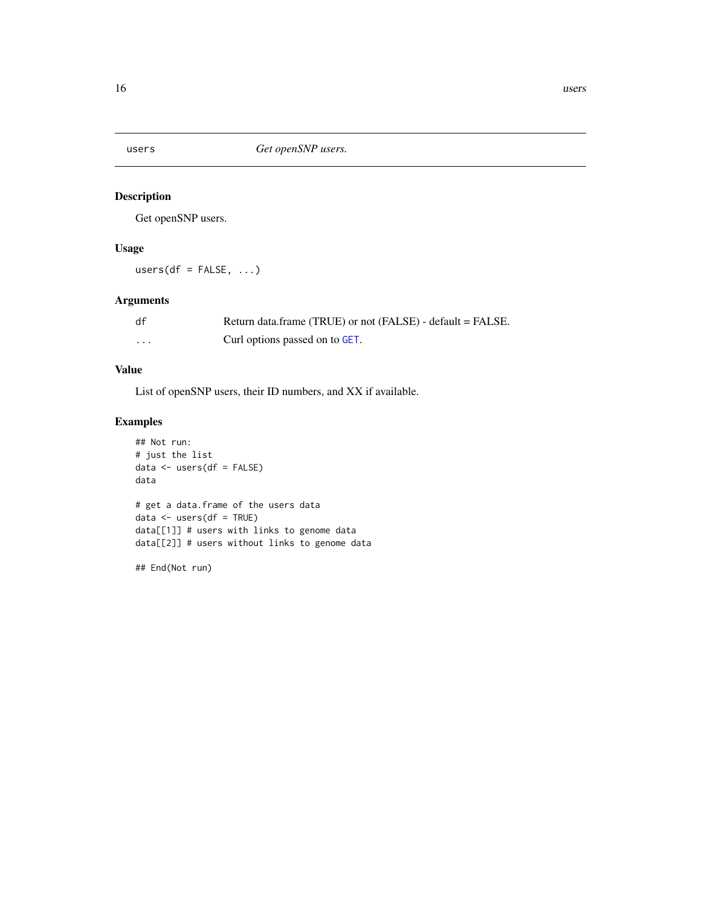<span id="page-15-0"></span>

Get openSNP users.

# Usage

 $users(df = FALSE, ...)$ 

# Arguments

| df | Return data.frame (TRUE) or not (FALSE) - default = FALSE. |
|----|------------------------------------------------------------|
| .  | Curl options passed on to GET.                             |

# Value

List of openSNP users, their ID numbers, and XX if available.

# Examples

```
## Not run:
# just the list
data <- users(df = FALSE)
data
# get a data.frame of the users data
data <- users(df = TRUE)
data[[1]] # users with links to genome data
data[[2]] # users without links to genome data
```